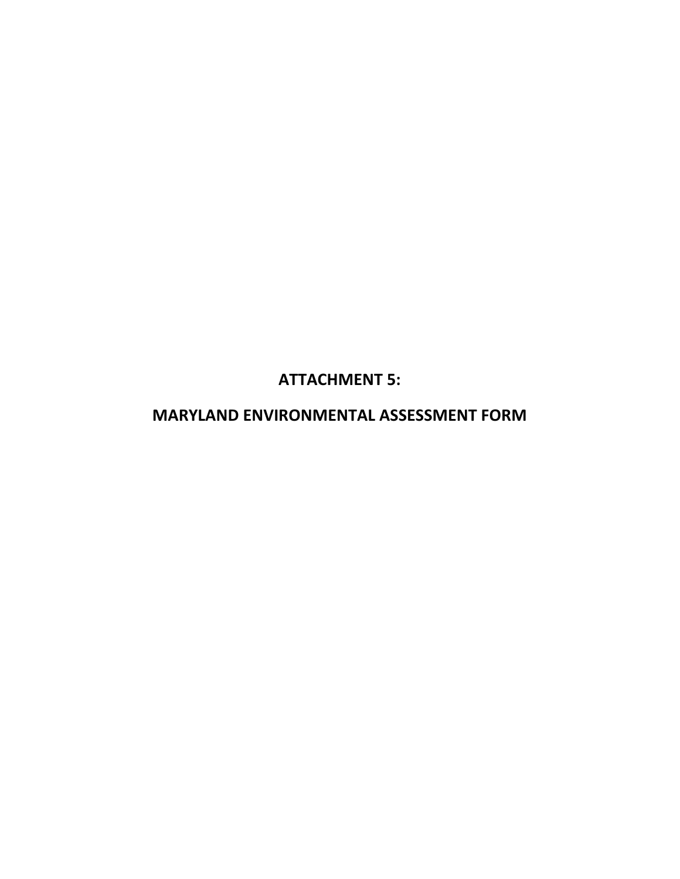**ATTACHMENT 5:** 

**MARYLAND ENVIRONMENTAL ASSESSMENT FORM**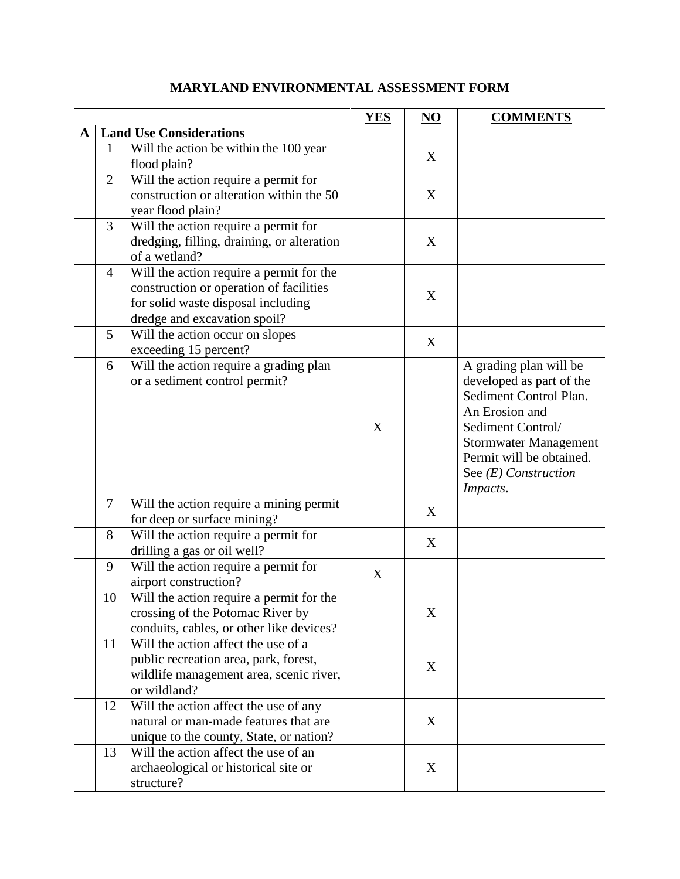|           |                |                                                                                                                                                           | <b>YES</b> | N <sub>O</sub> | <b>COMMENTS</b>                                                                                                                                                                                                       |
|-----------|----------------|-----------------------------------------------------------------------------------------------------------------------------------------------------------|------------|----------------|-----------------------------------------------------------------------------------------------------------------------------------------------------------------------------------------------------------------------|
| ${\bf A}$ |                | <b>Land Use Considerations</b>                                                                                                                            |            |                |                                                                                                                                                                                                                       |
|           | $\mathbf{1}$   | Will the action be within the $100$ year<br>flood plain?                                                                                                  |            | X              |                                                                                                                                                                                                                       |
|           | $\overline{2}$ | Will the action require a permit for<br>construction or alteration within the 50<br>year flood plain?                                                     |            | X              |                                                                                                                                                                                                                       |
|           | 3              | Will the action require a permit for<br>dredging, filling, draining, or alteration<br>of a wetland?                                                       |            | X              |                                                                                                                                                                                                                       |
|           | $\overline{4}$ | Will the action require a permit for the<br>construction or operation of facilities<br>for solid waste disposal including<br>dredge and excavation spoil? |            | X              |                                                                                                                                                                                                                       |
|           | 5              | Will the action occur on slopes<br>exceeding 15 percent?                                                                                                  |            | $\mathbf X$    |                                                                                                                                                                                                                       |
|           | 6              | Will the action require a grading plan<br>or a sediment control permit?                                                                                   | X          |                | A grading plan will be<br>developed as part of the<br>Sediment Control Plan.<br>An Erosion and<br>Sediment Control/<br><b>Stormwater Management</b><br>Permit will be obtained.<br>See $(E)$ Construction<br>Impacts. |
|           | $\tau$         | Will the action require a mining permit<br>for deep or surface mining?                                                                                    |            | X              |                                                                                                                                                                                                                       |
|           | 8              | Will the action require a permit for<br>drilling a gas or oil well?                                                                                       |            | X              |                                                                                                                                                                                                                       |
|           | 9              | Will the action require a permit for<br>airport construction?                                                                                             | X          |                |                                                                                                                                                                                                                       |
|           | 10             | Will the action require a permit for the<br>crossing of the Potomac River by<br>conduits, cables, or other like devices?                                  |            | X              |                                                                                                                                                                                                                       |
|           | 11             | Will the action affect the use of a<br>public recreation area, park, forest,<br>wildlife management area, scenic river,<br>or wildland?                   |            | X              |                                                                                                                                                                                                                       |
|           | 12             | Will the action affect the use of any<br>natural or man-made features that are<br>unique to the county, State, or nation?                                 |            | X              |                                                                                                                                                                                                                       |
|           | 13             | Will the action affect the use of an<br>archaeological or historical site or<br>structure?                                                                |            | X              |                                                                                                                                                                                                                       |

## **MARYLAND ENVIRONMENTAL ASSESSMENT FORM**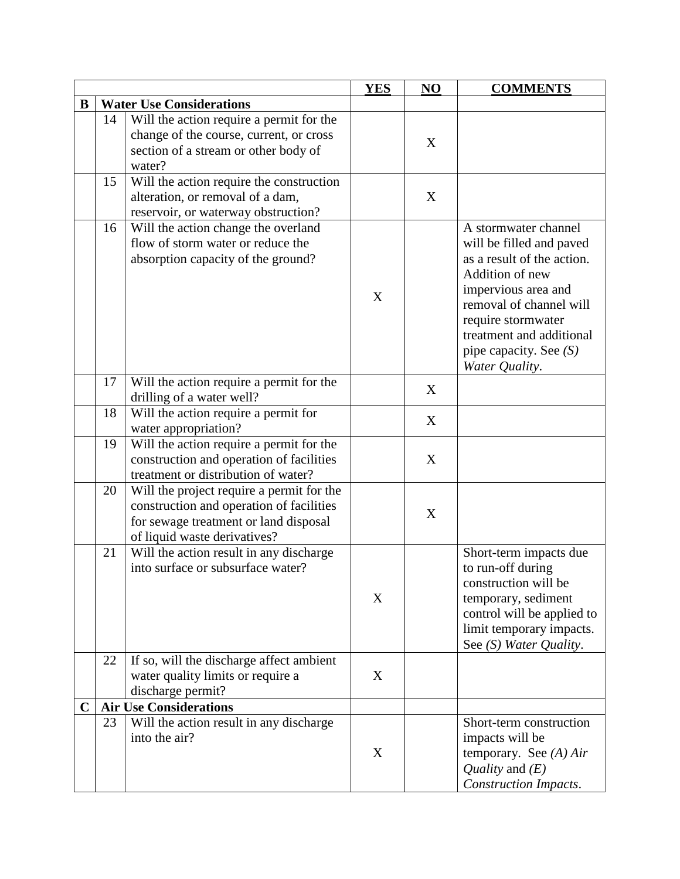|             |                                 |                                                                                                                                                                | <b>YES</b> | NO | <b>COMMENTS</b>                                                                                                                                                                                                                                     |
|-------------|---------------------------------|----------------------------------------------------------------------------------------------------------------------------------------------------------------|------------|----|-----------------------------------------------------------------------------------------------------------------------------------------------------------------------------------------------------------------------------------------------------|
| B           | <b>Water Use Considerations</b> |                                                                                                                                                                |            |    |                                                                                                                                                                                                                                                     |
|             | 14                              | Will the action require a permit for the<br>change of the course, current, or cross<br>section of a stream or other body of<br>water?                          |            | X  |                                                                                                                                                                                                                                                     |
|             | 15                              | Will the action require the construction<br>alteration, or removal of a dam,<br>reservoir, or waterway obstruction?                                            |            | X  |                                                                                                                                                                                                                                                     |
|             | 16                              | Will the action change the overland<br>flow of storm water or reduce the<br>absorption capacity of the ground?                                                 | X          |    | A stormwater channel<br>will be filled and paved<br>as a result of the action.<br>Addition of new<br>impervious area and<br>removal of channel will<br>require stormwater<br>treatment and additional<br>pipe capacity. See $(S)$<br>Water Quality. |
|             | 17                              | Will the action require a permit for the<br>drilling of a water well?                                                                                          |            | X  |                                                                                                                                                                                                                                                     |
|             | 18                              | Will the action require a permit for<br>water appropriation?                                                                                                   |            | X  |                                                                                                                                                                                                                                                     |
|             | 19                              | Will the action require a permit for the<br>construction and operation of facilities<br>treatment or distribution of water?                                    |            | X  |                                                                                                                                                                                                                                                     |
|             | 20                              | Will the project require a permit for the<br>construction and operation of facilities<br>for sewage treatment or land disposal<br>of liquid waste derivatives? |            | X  |                                                                                                                                                                                                                                                     |
|             | 21                              | Will the action result in any discharge<br>into surface or subsurface water?                                                                                   | X          |    | Short-term impacts due<br>to run-off during<br>construction will be<br>temporary, sediment<br>control will be applied to<br>limit temporary impacts.<br>See (S) Water Quality.                                                                      |
|             | 22                              | If so, will the discharge affect ambient<br>water quality limits or require a<br>discharge permit?                                                             | X          |    |                                                                                                                                                                                                                                                     |
| $\mathbf C$ |                                 | <b>Air Use Considerations</b>                                                                                                                                  |            |    |                                                                                                                                                                                                                                                     |
|             | 23                              | Will the action result in any discharge<br>into the air?                                                                                                       | X          |    | Short-term construction<br>impacts will be<br>temporary. See $(A) Air$<br>Quality and $(E)$<br><b>Construction Impacts.</b>                                                                                                                         |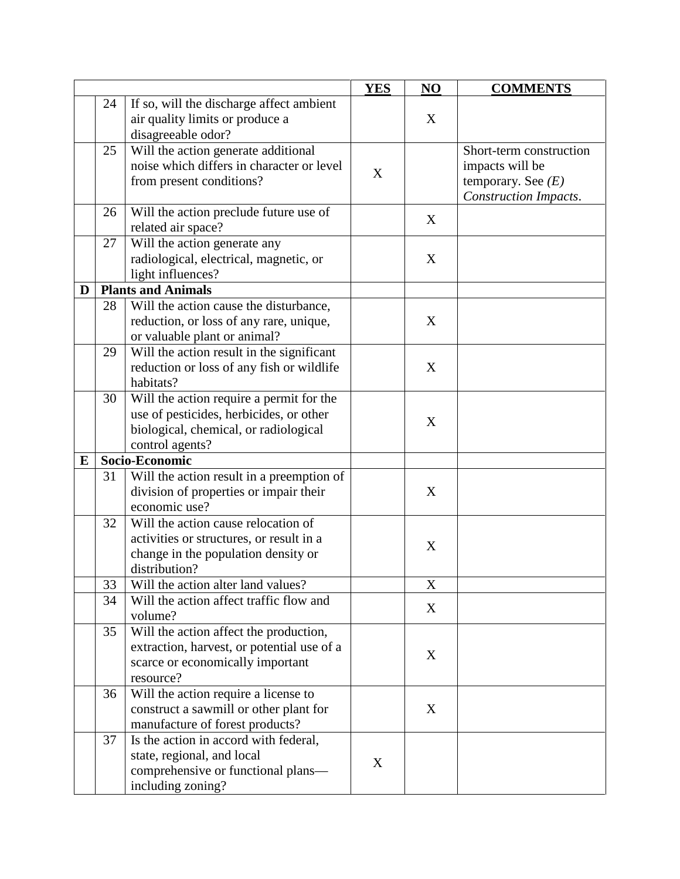|           |    |                                            | <b>YES</b> | NO | <b>COMMENTS</b>         |
|-----------|----|--------------------------------------------|------------|----|-------------------------|
|           | 24 | If so, will the discharge affect ambient   |            |    |                         |
|           |    | air quality limits or produce a            |            | X  |                         |
|           |    | disagreeable odor?                         |            |    |                         |
|           | 25 | Will the action generate additional        |            |    | Short-term construction |
|           |    | noise which differs in character or level  |            |    | impacts will be         |
|           |    | from present conditions?                   | X          |    | temporary. See $(E)$    |
|           |    |                                            |            |    | Construction Impacts.   |
|           | 26 | Will the action preclude future use of     |            |    |                         |
|           |    | related air space?                         |            | X  |                         |
|           | 27 | Will the action generate any               |            |    |                         |
|           |    | radiological, electrical, magnetic, or     |            | X  |                         |
|           |    | light influences?                          |            |    |                         |
| D         |    | <b>Plants and Animals</b>                  |            |    |                         |
|           | 28 | Will the action cause the disturbance,     |            |    |                         |
|           |    | reduction, or loss of any rare, unique,    |            | X  |                         |
|           |    | or valuable plant or animal?               |            |    |                         |
|           | 29 | Will the action result in the significant  |            |    |                         |
|           |    | reduction or loss of any fish or wildlife  |            | X  |                         |
|           |    | habitats?                                  |            |    |                         |
|           | 30 | Will the action require a permit for the   |            |    |                         |
|           |    | use of pesticides, herbicides, or other    |            |    |                         |
|           |    | biological, chemical, or radiological      |            | X  |                         |
|           |    | control agents?                            |            |    |                         |
| ${\bf E}$ |    | Socio-Economic                             |            |    |                         |
|           | 31 | Will the action result in a preemption of  |            |    |                         |
|           |    | division of properties or impair their     |            | X  |                         |
|           |    | economic use?                              |            |    |                         |
|           | 32 | Will the action cause relocation of        |            |    |                         |
|           |    | activities or structures, or result in a   |            | X  |                         |
|           |    | change in the population density or        |            |    |                         |
|           |    | distribution?                              |            |    |                         |
|           | 33 | Will the action alter land values?         |            | X  |                         |
|           | 34 | Will the action affect traffic flow and    |            | X  |                         |
|           |    | volume?                                    |            |    |                         |
|           | 35 | Will the action affect the production,     |            |    |                         |
|           |    | extraction, harvest, or potential use of a |            | X  |                         |
|           |    | scarce or economically important           |            |    |                         |
|           |    | resource?                                  |            |    |                         |
|           | 36 | Will the action require a license to       |            |    |                         |
|           |    | construct a sawmill or other plant for     |            | X  |                         |
|           |    | manufacture of forest products?            |            |    |                         |
|           | 37 | Is the action in accord with federal,      |            |    |                         |
|           |    | state, regional, and local                 | X          |    |                         |
|           |    | comprehensive or functional plans-         |            |    |                         |
|           |    | including zoning?                          |            |    |                         |